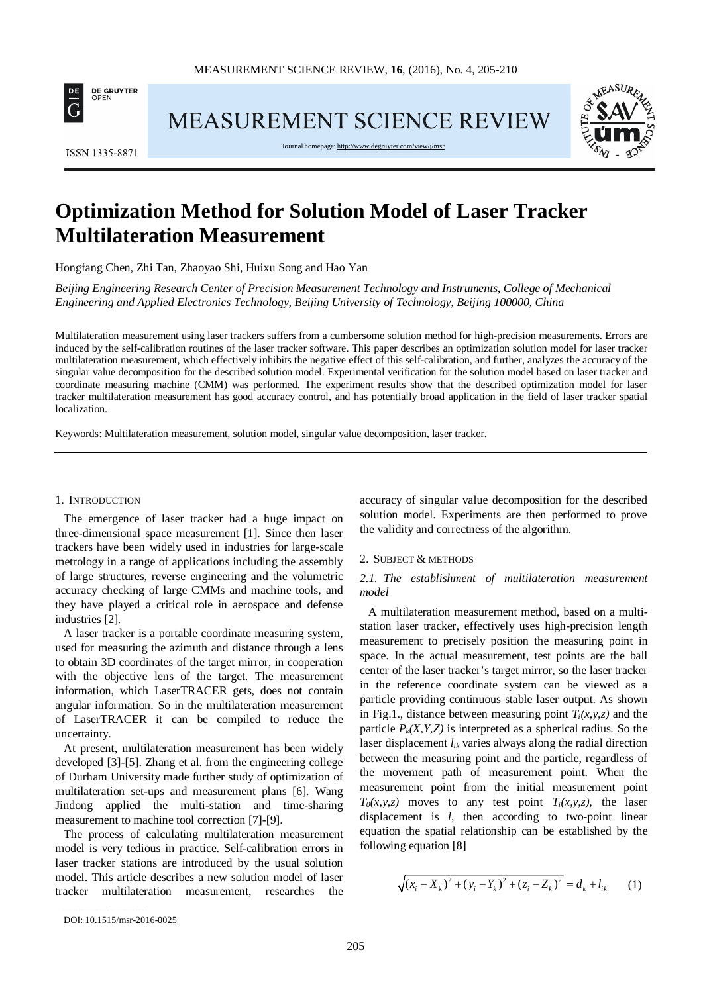

MEASUREMENT SCIENCE REVIEW



Journal homepage: http://www.degruyter.com/vie



# **Optimization Method for Solution Model of Laser Tracker Multilateration Measurement**

Hongfang Chen, Zhi Tan, Zhaoyao Shi, Huixu Song and Hao Yan

*Beijing Engineering Research Center of Precision Measurement Technology and Instruments, College of Mechanical Engineering and Applied Electronics Technology, Beijing University of Technology, Beijing 100000, China*

Multilateration measurement using laser trackers suffers from a cumbersome solution method for high-precision measurements. Errors are induced by the self-calibration routines of the laser tracker software. This paper describes an optimization solution model for laser tracker multilateration measurement, which effectively inhibits the negative effect of this self-calibration, and further, analyzes the accuracy of the singular value decomposition for the described solution model. Experimental verification for the solution model based on laser tracker and coordinate measuring machine (CMM) was performed. The experiment results show that the described optimization model for laser tracker multilateration measurement has good accuracy control, and has potentially broad application in the field of laser tracker spatial localization.

Keywords: Multilateration measurement, solution model, singular value decomposition, laser tracker.

#### 1. INTRODUCTION

The emergence of laser tracker had a huge impact on three-dimensional space measurement [1]. Since then laser trackers have been widely used in industries for large-scale metrology in a range of applications including the assembly of large structures, reverse engineering and the volumetric accuracy checking of large CMMs and machine tools, and they have played a critical role in aerospace and defense industries [2].

A laser tracker is a portable coordinate measuring system, used for measuring the azimuth and distance through a lens to obtain 3D coordinates of the target mirror, in cooperation with the objective lens of the target. The measurement information, which LaserTRACER gets, does not contain angular information. So in the multilateration measurement of LaserTRACER it can be compiled to reduce the uncertainty.

At present, multilateration measurement has been widely developed [3]-[5]. Zhang et al. from the engineering college of Durham University made further study of optimization of multilateration set-ups and measurement plans [6]. Wang Jindong applied the multi-station and time-sharing measurement to machine tool correction [7]-[9].

The process of calculating multilateration measurement model is very tedious in practice. Self-calibration errors in laser tracker stations are introduced by the usual solution model. This article describes a new solution model of laser tracker multilateration measurement, researches the accuracy of singular value decomposition for the described solution model. Experiments are then performed to prove the validity and correctness of the algorithm.

## 2. SUBJECT & METHODS

# *2.1. The establishment of multilateration measurement model*

A multilateration measurement method, based on a multistation laser tracker, effectively uses high-precision length measurement to precisely position the measuring point in space. In the actual measurement, test points are the ball center of the laser tracker's target mirror, so the laser tracker in the reference coordinate system can be viewed as a particle providing continuous stable laser output. As shown in Fig.1., distance between measuring point  $T_i(x, y, z)$  and the particle  $P_k(X, Y, Z)$  is interpreted as a spherical radius. So the laser displacement *lik* varies always along the radial direction between the measuring point and the particle, regardless of the movement path of measurement point. When the measurement point from the initial measurement point  $T_0(x, y, z)$  moves to any test point  $T_i(x, y, z)$ , the laser displacement is *l*, then according to two-point linear equation the spatial relationship can be established by the following equation [8]

$$
\sqrt{(x_i - X_k)^2 + (y_i - Y_k)^2 + (z_i - Z_k)^2} = d_k + l_{ik}
$$
 (1)

\_\_\_\_\_\_\_\_\_\_\_\_\_\_\_\_\_

DOI: 10.1515/msr-2016-0025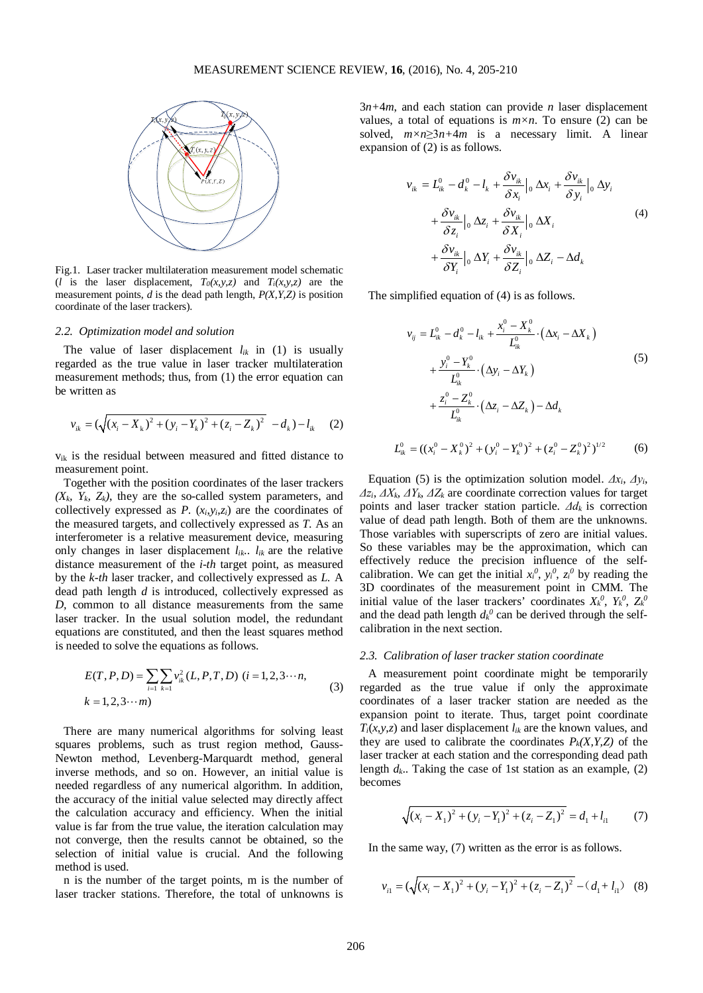

Fig.1. Laser tracker multilateration measurement model schematic (*l* is the laser displacement,  $T_0(x, y, z)$  and  $T_i(x, y, z)$  are the measurement points,  $\hat{d}$  is the dead path length,  $P(X, Y, Z)$  is position coordinate of the laser trackers).

### *2.2. Optimization model and solution*

The value of laser displacement  $l_{ik}$  in (1) is usually regarded as the true value in laser tracker multilateration measurement methods; thus, from (1) the error equation can be written as

$$
v_{ik} = (\sqrt{(x_i - X_k)^2 + (y_i - Y_k)^2 + (z_i - Z_k)^2} - d_k) - l_{ik}
$$
 (2)

vik is the residual between measured and fitted distance to measurement point.

Together with the position coordinates of the laser trackers  $(X_k, Y_k, Z_k)$ , they are the so-called system parameters, and collectively expressed as *P*.  $(x_i, y_i, z_i)$  are the coordinates of the measured targets, and collectively expressed as *T*. As an interferometer is a relative measurement device, measuring only changes in laser displacement  $l_{ik}$ ..  $l_{ik}$  are the relative distance measurement of the *i-th* target point, as measured by the *k-th* laser tracker, and collectively expressed as *L.* A dead path length *d* is introduced, collectively expressed as *D,* common to all distance measurements from the same laser tracker. In the usual solution model, the redundant equations are constituted, and then the least squares method is needed to solve the equations as follows.

$$
E(T, P, D) = \sum_{i=1} \sum_{k=1} v_{ik}^{2} (L, P, T, D) \ (i = 1, 2, 3 \cdots n,
$$
  
\n
$$
k = 1, 2, 3 \cdots m)
$$
 (3)

There are many numerical algorithms for solving least squares problems, such as trust region method, Gauss-Newton method, Levenberg-Marquardt method, general inverse methods, and so on. However, an initial value is needed regardless of any numerical algorithm. In addition, the accuracy of the initial value selected may directly affect the calculation accuracy and efficiency. When the initial value is far from the true value, the iteration calculation may not converge, then the results cannot be obtained, so the selection of initial value is crucial. And the following method is used.

n is the number of the target points, m is the number of laser tracker stations. Therefore, the total of unknowns is 3*n+*4*m*, and each station can provide *n* laser displacement values, a total of equations is  $m \times n$ . To ensure (2) can be solved,  $m \times n \geq 3n+4m$  is a necessary limit. A linear expansion of (2) is as follows.

$$
v_{ik} = L_{ik}^{0} - d_{k}^{0} - l_{k} + \frac{\delta v_{ik}}{\delta x_{i}} \Big|_{0} \Delta x_{i} + \frac{\delta v_{ik}}{\delta y_{i}} \Big|_{0} \Delta y_{i}
$$
  
+ 
$$
\frac{\delta v_{ik}}{\delta z_{i}} \Big|_{0} \Delta z_{i} + \frac{\delta v_{ik}}{\delta X_{i}} \Big|_{0} \Delta X_{i}
$$
  
+ 
$$
\frac{\delta v_{ik}}{\delta Y_{i}} \Big|_{0} \Delta Y_{i} + \frac{\delta v_{ik}}{\delta Z_{i}} \Big|_{0} \Delta Z_{i} - \Delta d_{k}
$$
  
(4)

The simplified equation of (4) is as follows.

( ) ( ) ( ) 0 0 0 0 0 0 0 0 0 0 0 *ij ik k ik i k ik i k ik i i k k k i k k i k i x X x X y Y z Z vLdl L y Y <sup>L</sup> zZ d L* <sup>−</sup> + ⋅− − = −− ∆ ∆ ∆ ∆ ∆ ∆ + ⋅− <sup>−</sup> + ⋅ <sup>−</sup> − ∆ (5)

$$
L_k^0 = ((x_i^0 - X_k^0)^2 + (y_i^0 - Y_k^0)^2 + (z_i^0 - Z_k^0)^2)^{1/2}
$$
 (6)

Equation (5) is the optimization solution model.  $\Delta x_i$ ,  $\Delta y_i$ , *Δzi*, *ΔXk*, *ΔYk*, *ΔZ<sup>k</sup>* are coordinate correction values for target points and laser tracker station particle. *Δdk* is correction value of dead path length. Both of them are the unknowns. Those variables with superscripts of zero are initial values. So these variables may be the approximation, which can effectively reduce the precision influence of the selfcalibration. We can get the initial  $x_i^0$ ,  $y_i^0$ ,  $z_i^0$  by reading the 3D coordinates of the measurement point in CMM. The initial value of the laser trackers' coordinates  $X_k^0$ ,  $Y_k^0$ ,  $Z_k^0$ and the dead path length  $d_k^0$  can be derived through the selfcalibration in the next section.

#### *2.3. Calibration of laser tracker station coordinate*

A measurement point coordinate might be temporarily regarded as the true value if only the approximate coordinates of a laser tracker station are needed as the expansion point to iterate. Thus, target point coordinate  $T_i(x, y, z)$  and laser displacement  $l_{ik}$  are the known values, and they are used to calibrate the coordinates  $P_k(X, Y, Z)$  of the laser tracker at each station and the corresponding dead path length  $d_k$ .. Taking the case of 1st station as an example, (2) becomes

$$
\sqrt{(x_i - X_1)^2 + (y_i - Y_1)^2 + (z_i - Z_1)^2} = d_1 + l_{i1}
$$
 (7)

In the same way, (7) written as the error is as follows.

$$
v_{i1} = (\sqrt{(x_i - X_1)^2 + (y_i - Y_1)^2 + (z_i - Z_1)^2} - (d_1 + l_{i1})
$$
 (8)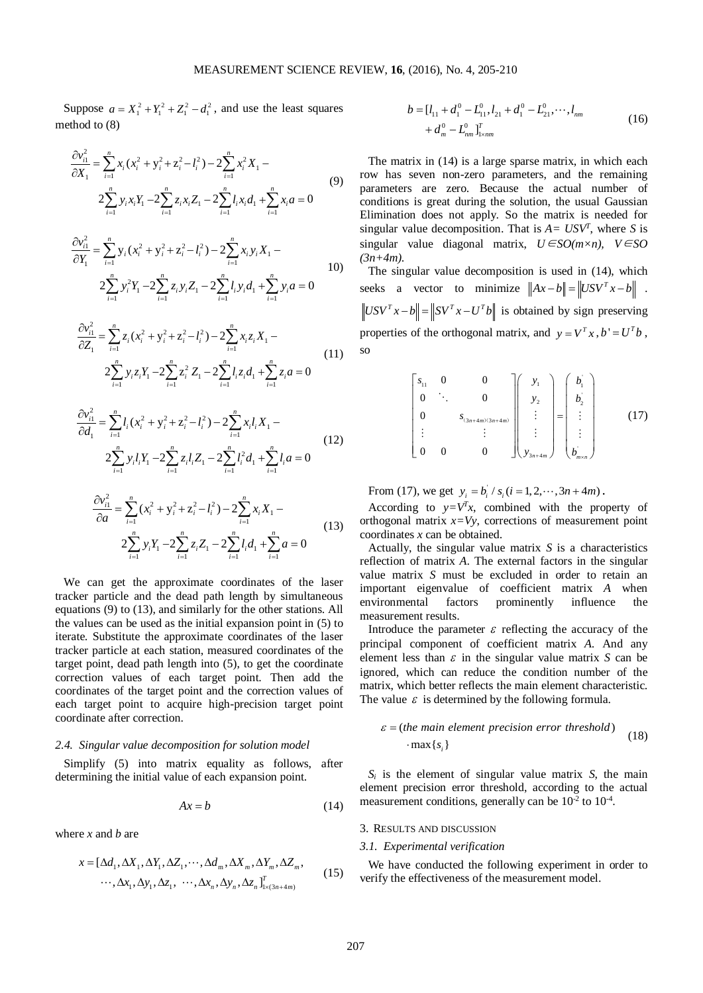Suppose  $a = X_1^2 + Y_1^2 + Z_1^2 - d_1^2$ , and use the least squares method to (8)

$$
\frac{\partial v_{i1}^2}{\partial X_1} = \sum_{i=1}^n x_i (x_i^2 + y_i^2 + z_i^2 - l_i^2) - 2 \sum_{i=1}^n x_i^2 X_1 - 2 \sum_{i=1}^n y_i x_i Y_1 - 2 \sum_{i=1}^n z_i x_i Z_1 - 2 \sum_{i=1}^n l_i x_i d_1 + \sum_{i=1}^n x_i a = 0
$$
\n(9)

$$
\frac{\partial v_{i1}^2}{\partial Y_1} = \sum_{i=1}^n y_i (x_i^2 + y_i^2 + z_i^2 - l_i^2) - 2 \sum_{i=1}^n x_i y_i X_1 - 10
$$
  

$$
2 \sum_{i=1}^n y_i^2 Y_1 - 2 \sum_{i=1}^n z_i y_i Z_1 - 2 \sum_{i=1}^n l_i y_i d_1 + \sum_{i=1}^n y_i a = 0
$$

$$
\frac{\partial v_{i1}^2}{\partial Z_1} = \sum_{i=1}^n z_i (x_i^2 + y_i^2 + z_i^2 - l_i^2) - 2 \sum_{i=1}^n x_i z_i X_1 -
$$
\n
$$
2 \sum_{i=1}^n y_i z_i Y_1 - 2 \sum_{i=1}^n z_i^2 Z_1 - 2 \sum_{i=1}^n l_i z_i d_1 + \sum_{i=1}^n z_i a = 0
$$
\n(11)

$$
\frac{\partial v_{i1}^2}{\partial d_1} = \sum_{i=1}^n l_i (x_i^2 + y_i^2 + z_i^2 - l_i^2) - 2 \sum_{i=1}^n x_i l_i X_1 - 2 \sum_{i=1}^n y_i l_i Y_1 - 2 \sum_{i=1}^n z_i l_i Z_1 - 2 \sum_{i=1}^n l_i^2 d_1 + \sum_{i=1}^n l_i a = 0
$$
\n(12)

$$
\frac{\partial v_{i1}^2}{\partial a} = \sum_{i=1}^n (x_i^2 + y_i^2 + z_i^2 - l_i^2) - 2 \sum_{i=1}^n x_i X_1 - 2 \sum_{i=1}^n y_i Y_1 - 2 \sum_{i=1}^n z_i Z_1 - 2 \sum_{i=1}^n l_i d_1 + \sum_{i=1}^n a = 0
$$
\n(13)

We can get the approximate coordinates of the laser tracker particle and the dead path length by simultaneous equations (9) to (13), and similarly for the other stations. All the values can be used as the initial expansion point in (5) to iterate. Substitute the approximate coordinates of the laser tracker particle at each station, measured coordinates of the target point, dead path length into (5), to get the coordinate correction values of each target point. Then add the coordinates of the target point and the correction values of each target point to acquire high-precision target point coordinate after correction.

## *2.4. Singular value decomposition for solution model*

Simplify (5) into matrix equality as follows, after determining the initial value of each expansion point.

$$
Ax = b \tag{14}
$$

where *x* and *b* are

$$
x = [\Delta d_1, \Delta X_1, \Delta Y_1, \Delta Z_1, \cdots, \Delta d_m, \Delta X_m, \Delta Y_m, \Delta Z_m,
$$
  

$$
\cdots, \Delta x_1, \Delta y_1, \Delta z_1, \cdots, \Delta x_n, \Delta y_n, \Delta z_n]_{x \times 3n+4m}^T
$$
 (15)

$$
b = [l_{11} + d_1^0 - L_{11}^0, l_{21} + d_1^0 - L_{21}^0, \cdots, l_{nm} + d_m^0 - L_{nm}^0]_{1 \times nm}^T
$$
\n(16)

The matrix in (14) is a large sparse matrix, in which each row has seven non-zero parameters, and the remaining parameters are zero. Because the actual number of conditions is great during the solution, the usual Gaussian Elimination does not apply. So the matrix is needed for singular value decomposition. That is  $A = USV<sup>T</sup>$ , where *S* is singular value diagonal matrix, *U*∈*SO(m×n), V*∈*SO (3n+4m)*.

The singular value decomposition is used in (14), which seeks a vector to minimize  $||Ax-b|| = ||USV^{T}x-b||$ .  $\left\| USV^{T} x - b \right\| = \left\| SV^{T} x - U^{T} b \right\|$  is obtained by sign preserving properties of the orthogonal matrix, and  $y = V^T x$ ,  $b' = U^T b$ , so

$$
\begin{bmatrix} s_{11} & 0 & 0 \ 0 & \ddots & 0 \ 0 & & s_{(3n+4m)(3n+4m)} \ \vdots & & \vdots \ 0 & 0 & 0 \end{bmatrix} \begin{bmatrix} y_1 \ y_2 \ \vdots \ y_{3n+4m} \end{bmatrix} = \begin{bmatrix} b_1' \ b_2' \ \vdots \ b_m \end{bmatrix}
$$
 (17)

From (17), we get  $y_i = b_i / s_i (i = 1, 2, \dots, 3n + 4m)$ .

According to  $y=V<sup>T</sup>x$ , combined with the property of orthogonal matrix  $x=Vy$ , corrections of measurement point coordinates *x* can be obtained.

Actually, the singular value matrix *S* is a characteristics reflection of matrix *A*. The external factors in the singular value matrix *S* must be excluded in order to retain an important eigenvalue of coefficient matrix *A* when environmental factors prominently influence the measurement results.

Introduce the parameter  $\varepsilon$  reflecting the accuracy of the principal component of coefficient matrix *A*. And any element less than  $\varepsilon$  in the singular value matrix *S* can be ignored, which can reduce the condition number of the matrix, which better reflects the main element characteristic. The value  $\varepsilon$  is determined by the following formula.

$$
\varepsilon = (the main element precision error threshold)
$$
  
 
$$
\cdot \max\{s_i\}
$$
 (18)

*Si* is the element of singular value matrix *S*, the main element precision error threshold, according to the actual measurement conditions, generally can be  $10^{-2}$  to  $10^{-4}$ .

## 3. RESULTS AND DISCUSSION

## *3.1. Experimental verification*

We have conducted the following experiment in order to verify the effectiveness of the measurement model.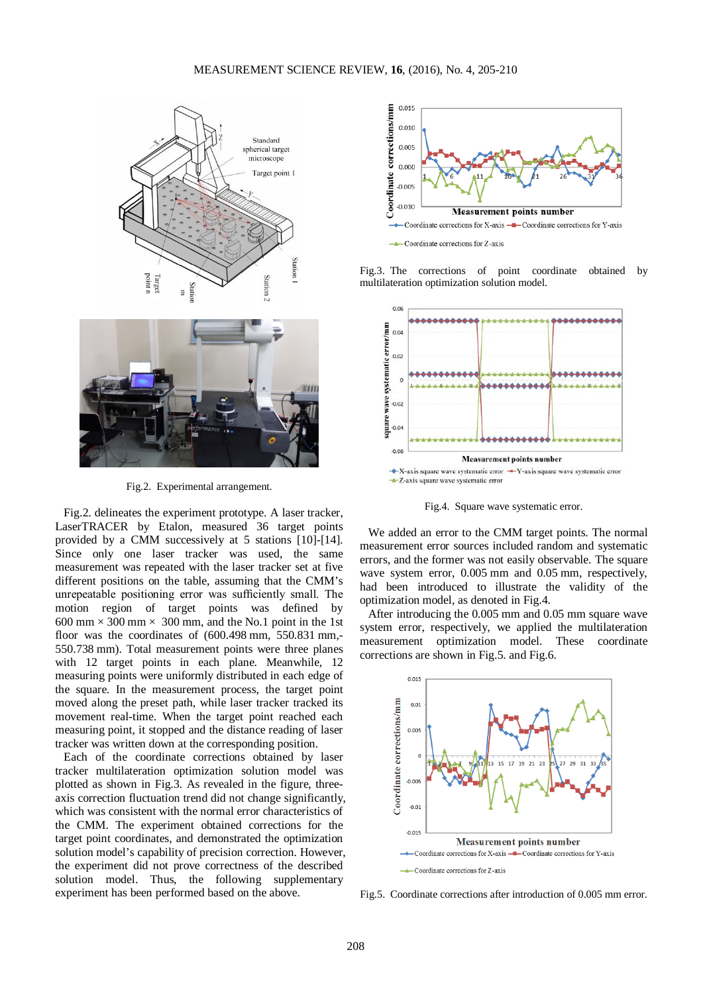

Fig.2. Experimental arrangement.

Fig.2. delineates the experiment prototype. A laser tracker, LaserTRACER by Etalon, measured 36 target points provided by a CMM successively at 5 stations [10]-[14]. Since only one laser tracker was used, the same measurement was repeated with the laser tracker set at five different positions on the table, assuming that the CMM's unrepeatable positioning error was sufficiently small. The motion region of target points was defined by 600 mm  $\times$  300 mm  $\times$  300 mm, and the No.1 point in the 1st floor was the coordinates of  $(600.498 \text{ mm}, 550.831 \text{ mm}, -1000 \text{ mm})$ 550.738 mm). Total measurement points were three planes with 12 target points in each plane. Meanwhile, 12 measuring points were uniformly distributed in each edge of the square. In the measurement process, the target point moved along the preset path, while laser tracker tracked its movement real-time. When the target point reached each measuring point, it stopped and the distance reading of laser tracker was written down at the corresponding position.

Each of the coordinate corrections obtained by laser tracker multilateration optimization solution model was plotted as shown in Fig.3. As revealed in the figure, threeaxis correction fluctuation trend did not change significantly, which was consistent with the normal error characteristics of the CMM. The experiment obtained corrections for the target point coordinates, and demonstrated the optimization solution model's capability of precision correction. However, the experiment did not prove correctness of the described solution model. Thus, the following supplementary experiment has been performed based on the above.



Fig.3. The corrections of point coordinate obtained by multilateration optimization solution model.



Fig.4. Square wave systematic error.

We added an error to the CMM target points. The normal measurement error sources included random and systematic errors, and the former was not easily observable. The square wave system error, 0.005 mm and 0.05 mm, respectively, had been introduced to illustrate the validity of the optimization model, as denoted in Fig.4.

After introducing the 0.005 mm and 0.05 mm square wave system error, respectively, we applied the multilateration measurement optimization model. These coordinate corrections are shown in Fig.5. and Fig.6.



Fig.5. Coordinate corrections after introduction of 0.005 mm error.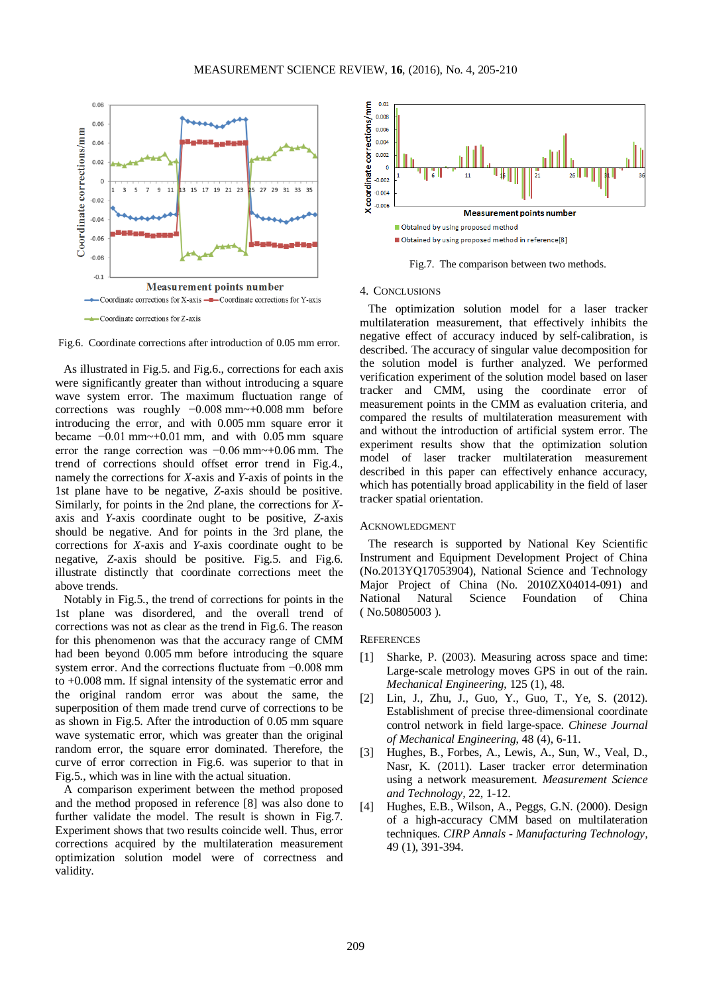



As illustrated in Fig.5. and Fig.6., corrections for each axis were significantly greater than without introducing a square wave system error. The maximum fluctuation range of corrections was roughly −0.008 mm~+0.008 mm before introducing the error, and with 0.005 mm square error it became  $-0.01$  mm $\sim$ +0.01 mm, and with 0.05 mm square error the range correction was −0.06 mm~+0.06 mm. The trend of corrections should offset error trend in Fig.4., namely the corrections for *X*-axis and *Y*-axis of points in the 1st plane have to be negative, *Z*-axis should be positive. Similarly, for points in the 2nd plane, the corrections for *X*axis and *Y*-axis coordinate ought to be positive, *Z*-axis should be negative. And for points in the 3rd plane, the corrections for *X*-axis and *Y*-axis coordinate ought to be negative, *Z*-axis should be positive. Fig.5. and Fig.6. illustrate distinctly that coordinate corrections meet the above trends.

Notably in Fig.5., the trend of corrections for points in the 1st plane was disordered, and the overall trend of corrections was not as clear as the trend in Fig.6. The reason for this phenomenon was that the accuracy range of CMM had been beyond 0.005 mm before introducing the square system error. And the corrections fluctuate from −0.008 mm to +0.008 mm. If signal intensity of the systematic error and the original random error was about the same, the superposition of them made trend curve of corrections to be as shown in Fig.5. After the introduction of 0.05 mm square wave systematic error, which was greater than the original random error, the square error dominated. Therefore, the curve of error correction in Fig.6. was superior to that in Fig.5., which was in line with the actual situation.

A comparison experiment between the method proposed and the method proposed in reference [8] was also done to further validate the model. The result is shown in Fig.7. Experiment shows that two results coincide well. Thus, error corrections acquired by the multilateration measurement optimization solution model were of correctness and validity.



Fig.7. The comparison between two methods.

#### 4. CONCLUSIONS

The optimization solution model for a laser tracker multilateration measurement, that effectively inhibits the negative effect of accuracy induced by self-calibration, is described. The accuracy of singular value decomposition for the solution model is further analyzed. We performed verification experiment of the solution model based on laser tracker and CMM, using the coordinate error of measurement points in the CMM as evaluation criteria, and compared the results of multilateration measurement with and without the introduction of artificial system error. The experiment results show that the optimization solution model of laser tracker multilateration measurement described in this paper can effectively enhance accuracy, which has potentially broad applicability in the field of laser tracker spatial orientation.

#### ACKNOWLEDGMENT

The research is supported by National Key Scientific Instrument and Equipment Development Project of China (No.2013YQ17053904), National Science and Technology Major Project of China (No. 2010ZX04014-091) and National Natural Science Foundation of China ( No.50805003 ).

#### **REFERENCES**

- [1] Sharke, P. (2003). Measuring across space and time: Large-scale metrology moves GPS in out of the rain. *Mechanical Engineering*, 125 (1), 48.
- [2] Lin, J., Zhu, J., Guo, Y., Guo, T., Ye, S. (2012). Establishment of precise three-dimensional coordinate control network in field large-space. *Chinese Journal of Mechanical Engineering*, 48 (4), 6-11.
- [3] Hughes, B., Forbes, A., Lewis, A., Sun, W., Veal, D., Nasr, K. (2011). Laser tracker error determination using a network measurement. *Measurement Science and Technology,* 22, 1-12.
- [4] Hughes, E.B., Wilson, A., Peggs, G.N. (2000). Design of a high-accuracy CMM based on multilateration techniques. *CIRP Annals - Manufacturing Technology,*  49 (1), 391-394.